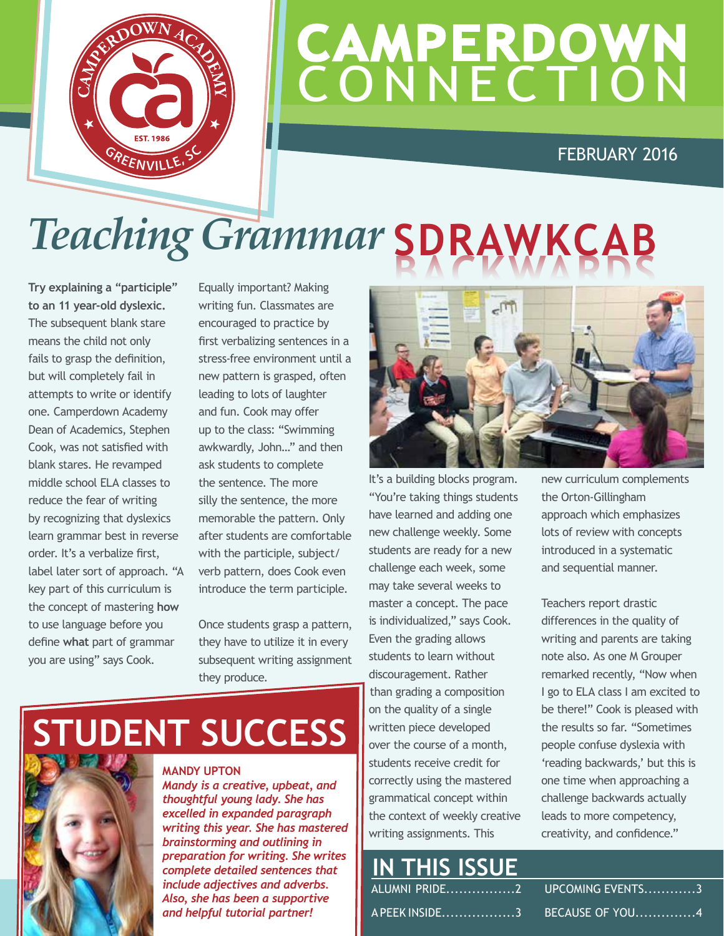

### **CAMPERDOWN CONNECTION**

### FEBRUARY 2016

## *Teaching Grammar* **SDRAWKCAB**

**Try explaining a "participle" to an 11 year-old dyslexic.**  The subsequent blank stare means the child not only fails to grasp the definition, but will completely fail in attempts to write or identify one. Camperdown Academy Dean of Academics, Stephen Cook, was not satisfied with blank stares. He revamped middle school ELA classes to reduce the fear of writing by recognizing that dyslexics learn grammar best in reverse order. It's a verbalize first, label later sort of approach. "A key part of this curriculum is the concept of mastering **how** to use language before you define **what** part of grammar you are using" says Cook.

Equally important? Making writing fun. Classmates are encouraged to practice by first verbalizing sentences in a stress-free environment until a new pattern is grasped, often leading to lots of laughter and fun. Cook may offer up to the class: "Swimming awkwardly, John…" and then ask students to complete the sentence. The more silly the sentence, the more memorable the pattern. Only after students are comfortable with the participle, subject/ verb pattern, does Cook even introduce the term participle.

Once students grasp a pattern, they have to utilize it in every subsequent writing assignment they produce.



It's a building blocks program. "You're taking things students have learned and adding one new challenge weekly. Some students are ready for a new challenge each week, some may take several weeks to master a concept. The pace is individualized," says Cook. Even the grading allows students to learn without discouragement. Rather than grading a composition on the quality of a single written piece developed over the course of a month, students receive credit for correctly using the mastered grammatical concept within the context of weekly creative writing assignments. This

new curriculum complements the Orton-Gillingham approach which emphasizes lots of review with concepts introduced in a systematic and sequential manner.

Teachers report drastic differences in the quality of writing and parents are taking note also. As one M Grouper remarked recently, "Now when I go to ELA class I am excited to be there!" Cook is pleased with the results so far. "Sometimes people confuse dyslexia with 'reading backwards,' but this is one time when approaching a challenge backwards actually leads to more competency, creativity, and confidence."

### **STUDENT SUCCESS**

**MANDY UPTON**

*Mandy is a creative, upbeat, and thoughtful young lady. She has excelled in expanded paragraph writing this year. She has mastered brainstorming and outlining in preparation for writing. She writes complete detailed sentences that include adjectives and adverbs. Also, she has been a supportive and helpful tutorial partner!*

### **IN THIS ISSUE** ALUMNI PRIDE................2

A PEEK INSIDE.................3

UPCOMING EVENTS............3 BECAUSE OF YOU..............4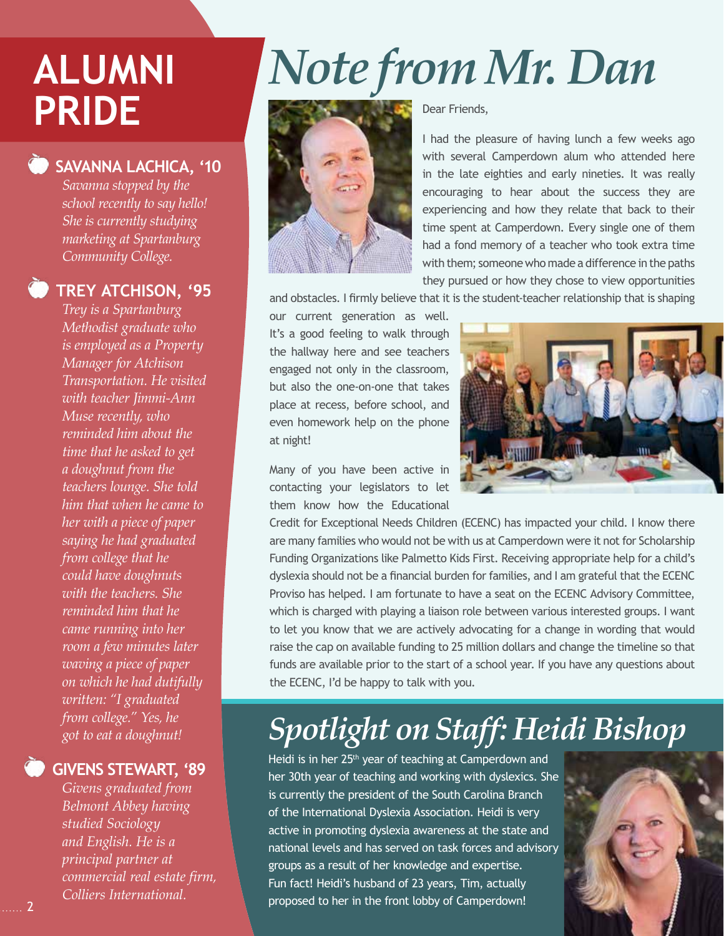#### **SAVANNA LACHICA, '10**

*Savanna stopped by the school recently to say hello! She is currently studying marketing at Spartanburg Community College.*

### **TREY ATCHISON, '95**

*Trey is a Spartanburg Methodist graduate who is employed as a Property Manager for Atchison Transportation. He visited with teacher Jimmi-Ann Muse recently, who reminded him about the time that he asked to get a doughnut from the teachers lounge. She told him that when he came to her with a piece of paper saying he had graduated from college that he could have doughnuts with the teachers. She reminded him that he came running into her room a few minutes later waving a piece of paper on which he had dutifully written: "I graduated from college." Yes, he got to eat a doughnut!*

### **GIVENS STEWART, '89**

*Givens graduated from Belmont Abbey having studied Sociology and English. He is a principal partner at commercial real estate firm, Colliers International.* 

# **ALUMNI** *Note from Mr. Dan* **PRIDE**



Dear Friends,

I had the pleasure of having lunch a few weeks ago with several Camperdown alum who attended here in the late eighties and early nineties. It was really encouraging to hear about the success they are experiencing and how they relate that back to their time spent at Camperdown. Every single one of them had a fond memory of a teacher who took extra time with them; someone who made a difference in the paths they pursued or how they chose to view opportunities

and obstacles. I firmly believe that it is the student-teacher relationship that is shaping

our current generation as well. It's a good feeling to walk through the hallway here and see teachers engaged not only in the classroom, but also the one-on-one that takes place at recess, before school, and even homework help on the phone at night!

Many of you have been active in contacting your legislators to let them know how the Educational



Credit for Exceptional Needs Children (ECENC) has impacted your child. I know there are many families who would not be with us at Camperdown were it not for Scholarship Funding Organizations like Palmetto Kids First. Receiving appropriate help for a child's dyslexia should not be a financial burden for families, and I am grateful that the ECENC Proviso has helped. I am fortunate to have a seat on the ECENC Advisory Committee, which is charged with playing a liaison role between various interested groups. I want to let you know that we are actively advocating for a change in wording that would raise the cap on available funding to 25 million dollars and change the timeline so that funds are available prior to the start of a school year. If you have any questions about the ECENC, I'd be happy to talk with you.

### *Spotlight on Staff: Heidi Bishop*

Heidi is in her 25<sup>th</sup> year of teaching at Camperdown and her 30th year of teaching and working with dyslexics. She is currently the president of the South Carolina Branch of the International Dyslexia Association. Heidi is very active in promoting dyslexia awareness at the state and national levels and has served on task forces and advisory groups as a result of her knowledge and expertise. Fun fact! Heidi's husband of 23 years, Tim, actually proposed to her in the front lobby of Camperdown!

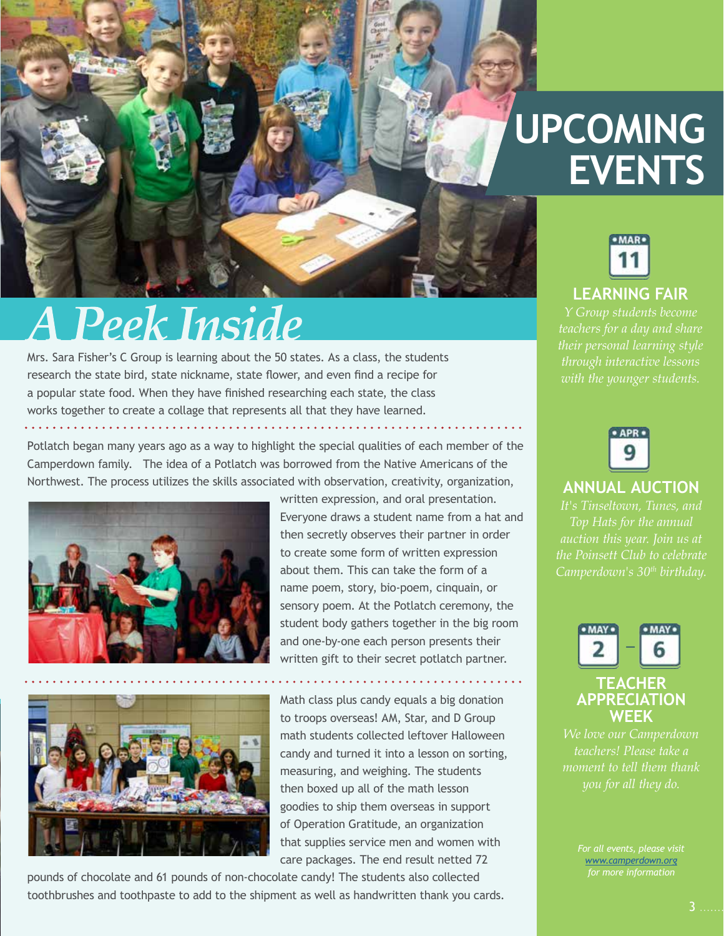### **UPCOMING EVENTS**

## **A Peek Inside**

Mrs. Sara Fisher's C Group is learning about the 50 states. As a class, the students research the state bird, state nickname, state flower, and even find a recipe for a popular state food. When they have finished researching each state, the class works together to create a collage that represents all that they have learned.

Potlatch began many years ago as a way to highlight the special qualities of each member of the Camperdown family. The idea of a Potlatch was borrowed from the Native Americans of the Northwest. The process utilizes the skills associated with observation, creativity, organization,



written expression, and oral presentation. Everyone draws a student name from a hat and then secretly observes their partner in order to create some form of written expression about them. This can take the form of a name poem, story, bio-poem, cinquain, or sensory poem. At the Potlatch ceremony, the student body gathers together in the big room and one-by-one each person presents their written gift to their secret potlatch partner.



Math class plus candy equals a big donation to troops overseas! AM, Star, and D Group math students collected leftover Halloween candy and turned it into a lesson on sorting, measuring, and weighing. The students then boxed up all of the math lesson goodies to ship them overseas in support of Operation Gratitude, an organization that supplies service men and women with care packages. The end result netted 72

pounds of chocolate and 61 pounds of non-chocolate candy! The students also collected toothbrushes and toothpaste to add to the shipment as well as handwritten thank you cards.





### **ANNUAL AUCTION**

*auction this year. Join us at the Poinsett Club to celebrate* 



*teachers! Please take a moment to tell them thank* 

> *[www.camperdown.org](http://www.camperdown.org) for more information*